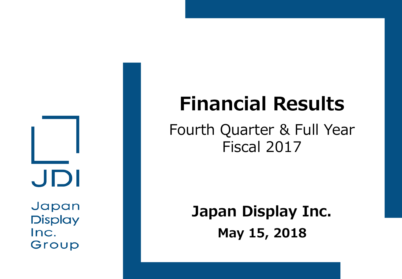JDI

Japan **Display** Inc. Group

# **Financial Results**

## Fourth Quarter & Full Year Fiscal 2017

**Japan Display Inc. May 15, 2018**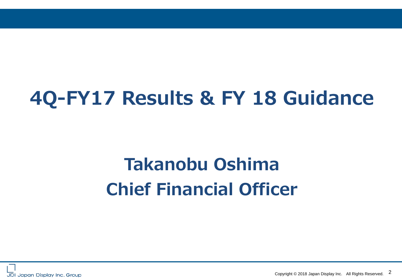# **4Q-FY17 Results & FY 18 Guidance**

# **Takanobu Oshima Chief Financial Officer**



Copyright © 2018 Japan Display Inc. All Rights Reserved. 2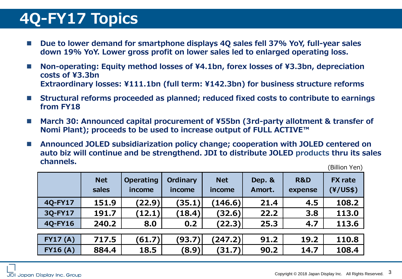## **4Q-FY17 Topics**

- Due to lower demand for smartphone displays 4Q sales fell 37% YoY, full-year sales **down 19% YoY. Lower gross profit on lower sales led to enlarged operating loss.**
- **Non-operating: Equity method losses of ¥4.1bn, forex losses of ¥3.3bn, depreciation costs of ¥3.3bn Extraordinary losses: ¥111.1bn (full term: ¥142.3bn) for business structure reforms**
- **Structural reforms proceeded as planned; reduced fixed costs to contribute to earnings from FY18**
- March 30: Announced capital procurement of ¥55bn (3rd-party allotment & transfer of **Nomi Plant); proceeds to be used to increase output of FULL ACTIVE™**
- Announced JOLED subsidiarization policy change; cooperation with JOLED centered on **auto biz will continue and be strengthend. JDI to distribute JOLED products thru its sales channels.**

(Billion Yen)

|                 | <b>Net</b><br>sales | <b>Operating</b><br>income | Ordinary<br>income | <b>Net</b><br>income | Dep. &<br>Amort. | <b>R&amp;D</b><br>expense | <b>FX</b> rate<br>(Y/US\$) |
|-----------------|---------------------|----------------------------|--------------------|----------------------|------------------|---------------------------|----------------------------|
| 4Q-FY17         | 151.9               | (22.9)                     | (35.1)             | (146.6)              | 21.4             | 4.5                       | 108.2                      |
| 3Q-FY17         | 191.7               | (12.1)                     | (18.4)             | (32.6)               | 22.2             | 3.8                       | 113.0                      |
| 4Q-FY16         | 240.2               | 8.0                        | 0.2                | (22.3)               | 25.3             | 4.7                       | 113.6                      |
|                 |                     |                            |                    |                      |                  |                           |                            |
| <b>FY17 (A)</b> | 717.5               | (61.7)                     | (93.7)             | (247.2)              | 91.2             | 19.2                      | 110.8                      |
| <b>FY16 (A)</b> | 884.4               | 18.5                       | (8.9)              | (31.7)               | 90.2             | 14.7                      | 108.4                      |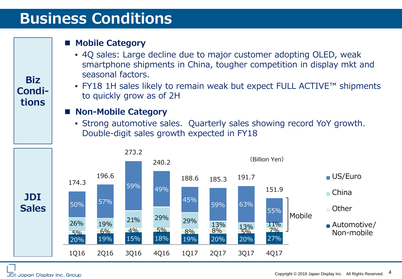## **Business Conditions**

### **Mobile Category**

- 4Q sales: Large decline due to major customer adopting OLED, weak smartphone shipments in China, tougher competition in display mkt and seasonal factors.
- FY18 1H sales likely to remain weak but expect FULL ACTIVE™ shipments to quickly grow as of 2H

#### ■ Non-Mobile Category

• Strong automotive sales. Quarterly sales showing record YoY growth. Double-digit sales growth expected in FY18



**Biz Conditions**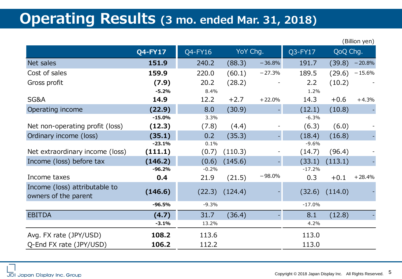### **Operating Results (3 mo. ended Mar. 31, 2018)**

|                                                       |                 |                 |         |          |                 |          | (Billion yen) |
|-------------------------------------------------------|-----------------|-----------------|---------|----------|-----------------|----------|---------------|
|                                                       | $Q4$ -FY17      | Q4-FY16         |         | YoY Chg. | Q3-FY17         | QoQ Chg. |               |
| Net sales                                             | 151.9           | 240.2           | (88.3)  | $-36.8%$ | 191.7           | (39.8)   | $-20.8%$      |
| Cost of sales                                         | 159.9           | 220.0           | (60.1)  | $-27.3%$ | 189.5           | (29.6)   | $-15.6%$      |
| Gross profit                                          | (7.9)           | 20.2            | (28.2)  |          | 2.2             | (10.2)   |               |
|                                                       | $-5.2%$         | 8.4%            |         |          | 1.2%            |          |               |
| SG&A                                                  | 14.9            | 12.2            | $+2.7$  | $+22.0%$ | 14.3            | $+0.6$   | $+4.3%$       |
| Operating income                                      | (22.9)          | 8.0             | (30.9)  |          | (12.1)          | (10.8)   |               |
|                                                       | $-15.0%$        | 3.3%            |         |          | $-6.3%$         |          |               |
| Net non-operating profit (loss)                       | (12.3)          | (7.8)           | (4.4)   |          | (6.3)           | (6.0)    |               |
| Ordinary income (loss)                                | (35.1)          | 0.2             | (35.3)  |          | (18.4)          | (16.8)   |               |
|                                                       | $-23.1%$        | 0.1%            |         |          | $-9.6%$         |          |               |
| Net extraordinary income (loss)                       | (111.1)         | (0.7)           | (110.3) |          | (14.7)          | (96.4)   |               |
| Income (loss) before tax                              | (146.2)         | (0.6)           | (145.6) |          | (33.1)          | (113.1)  |               |
| Income taxes                                          | $-96.2%$<br>0.4 | $-0.2%$<br>21.9 | (21.5)  | $-98.0%$ | $-17.2%$<br>0.3 | $+0.1$   | $+28.4%$      |
|                                                       |                 |                 |         |          |                 |          |               |
| Income (loss) attributable to<br>owners of the parent | (146.6)         | (22.3)          | (124.4) |          | (32.6)          | (114.0)  |               |
|                                                       | $-96.5%$        | $-9.3%$         |         |          | $-17.0%$        |          |               |
| <b>EBITDA</b>                                         | (4.7)           | 31.7            | (36.4)  |          | 8.1             | (12.8)   |               |
|                                                       | $-3.1%$         | 13.2%           |         |          | 4.2%            |          |               |
| Avg. FX rate (JPY/USD)                                | 108.2           | 113.6           |         |          | 113.0           |          |               |
| Q-End FX rate (JPY/USD)                               | 106.2           | 112.2           |         |          | 113.0           |          |               |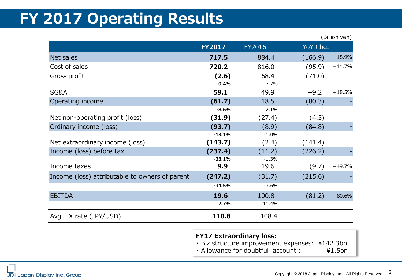## **FY 2017 Operating Results**

|                                                |                 |                 | (Billion yen)       |
|------------------------------------------------|-----------------|-----------------|---------------------|
|                                                | <b>FY2017</b>   | FY2016          | YoY Chg.            |
| Net sales                                      | 717.5           | 884.4           | $-18.9%$<br>(166.9) |
| Cost of sales                                  | 720.2           | 816.0           | (95.9)<br>$-11.7%$  |
| Gross profit                                   | (2.6)           | 68.4            | (71.0)              |
|                                                | $-0.4%$         | 7.7%            |                     |
| SG&A                                           | 59.1            | 49.9            | $+9.2$<br>$+18.5%$  |
| Operating income                               | (61.7)          | 18.5            | (80.3)              |
|                                                | $-8.6%$         | 2.1%            |                     |
| Net non-operating profit (loss)                | (31.9)          | (27.4)          | (4.5)               |
| Ordinary income (loss)                         | (93.7)          | (8.9)           | (84.8)              |
|                                                | $-13.1%$        | $-1.0%$         |                     |
| Net extraordinary income (loss)                | (143.7)         | (2.4)           | (141.4)             |
| Income (loss) before tax                       | (237.4)         | (11.2)          | (226.2)             |
| Income taxes                                   | $-33.1%$<br>9.9 | $-1.3%$<br>19.6 | (9.7)<br>$-49.7%$   |
|                                                |                 |                 |                     |
| Income (loss) attributable to owners of parent | (247.2)         | (31.7)          | (215.6)             |
|                                                | $-34.5%$        | $-3.6%$         |                     |
| <b>EBITDA</b>                                  | 19.6            | 100.8           | (81.2)<br>$-80.6%$  |
|                                                | 2.7%            | 11.4%           |                     |
| Avg. FX rate (JPY/USD)                         | 110.8           | 108.4           |                     |

#### **FY17 Extraordinary loss:**

• Biz structure improvement expenses: ¥142.3bn<br>• Allowance for doubtful account : ¥1.5bn  $\cdot$  Allowance for doubtful account :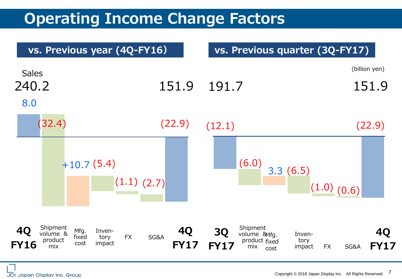## **Operating Income Change Factors**

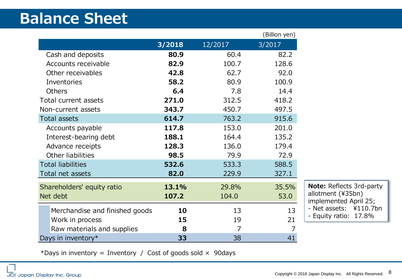## **Balance Sheet**

|                                |        |         | (Billion yen) |
|--------------------------------|--------|---------|---------------|
|                                | 3/2018 | 12/2017 | 3/2017        |
| Cash and deposits              | 80.9   | 60.4    | 82.2          |
| Accounts receivable            | 82.9   | 100.7   | 128.6         |
| Other receivables              | 42.8   | 62.7    | 92.0          |
| Inventories                    | 58.2   | 80.9    | 100.9         |
| <b>Others</b>                  | 6.4    | 7.8     | 14.4          |
| Total current assets           | 271.0  | 312.5   | 418.2         |
| Non-current assets             | 343.7  | 450.7   | 497.5         |
| <b>Total assets</b>            | 614.7  | 763.2   | 915.6         |
| Accounts payable               | 117.8  | 153.0   | 201.0         |
| Interest-bearing debt          | 188.1  | 164.4   | 135.2         |
| Advance receipts               | 128.3  | 136.0   | 179.4         |
| Other liabilities              | 98.5   | 79.9    | 72.9          |
| <b>Total liabilities</b>       | 532.6  | 533.3   | 588.5         |
| Total net assets               | 82.0   | 229.9   | 327.1         |
| Shareholders' equity ratio     | 13.1%  | 29.8%   | 35.5%         |
| Net debt                       | 107.2  | 104.0   | 53.0          |
| Merchandise and finished goods | 10     | 13      | 13            |
| Work in process                | 15     | 19      | 21            |
| Raw materials and supplies     | 8      | 7       | 7             |
| Days in inventory*             | 33     | 38      | 41            |

**Note:** Reflects 3rd-party allotment (¥35bn) implemented April 25; - Net assets: ¥110.7bn - Equity ratio: 17.8%

\*Days in inventory = Inventory / Cost of goods sold  $\times$  90days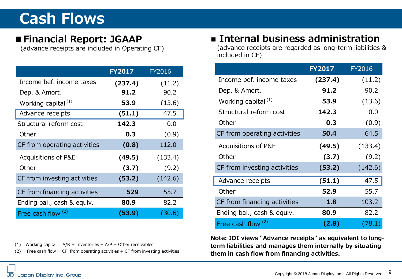## **Cash Flows**

### **■Financial Report: JGAAP**

(advance receipts are included in Operating CF)

|                                | <b>FY2017</b> | FY2016  |
|--------------------------------|---------------|---------|
| Income bef, income taxes       | (237.4)       | (11.2)  |
| Dep. & Amort.                  | 91.2          | 90.2    |
| Working capital <sup>(1)</sup> | 53.9          | (13.6)  |
| Advance receipts               | (51.1)        | 47.5    |
| Structural reform cost         | 142.3         | 0.0     |
| Other                          | 0.3           | (0.9)   |
| CF from operating activities   | (0.8)         | 112.0   |
| Acquisitions of P&E            | (49.5)        | (133.4) |
| Other                          | (3.7)         | (9.2)   |
| CF from investing activities   | (53.2)        | (142.6) |
| CF from financing activities   | 529           | 55.7    |
| Ending bal., cash & equiv.     | 80.9          | 82.2    |
| Free cash flow <sup>(2)</sup>  | (53.9)        | (30.6)  |

(1) Working capital =  $A/R$  + Inventories +  $A/P$  + Other receivables

(2) Free cash flow = CF from operating activities  $+$  CF from investing activities

### **■ Internal business administration**

(advance receipts are regarded as long-term liabilities & included in CF)

|                                | <b>FY2017</b> | FY2016  |
|--------------------------------|---------------|---------|
| Income bef. income taxes       | (237.4)       | (11.2)  |
| Dep. & Amort.                  | 91.2          | 90.2    |
| Working capital <sup>(1)</sup> | 53.9          | (13.6)  |
| Structural reform cost         | 142.3         | 0.0     |
| Other                          | 0.3           | (0.9)   |
| CF from operating activities   | 50.4          | 64.5    |
| Acquisitions of P&E            | (49.5)        | (133.4) |
| Other                          | (3.7)         | (9.2)   |
| CF from investing activities   | (53.2)        | (142.6) |
| Advance receipts               | (51.1)        | 47.5    |
| Other                          | 52.9          | 55.7    |
| CF from financing activities   | 1.8           | 103.2   |
| Ending bal., cash & equiv.     | 80.9          | 82.2    |
| Free cash flow (2)             | (2.8)         | (78.1)  |

**Note: JDI views "Advance receipts" as equivalent to longterm liabilities and manages them internally by situating them in cash flow from financing activities.**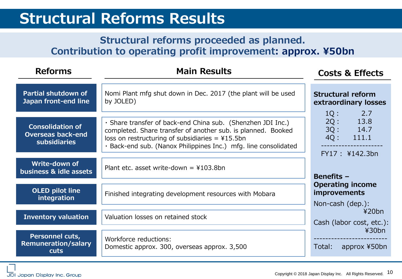### **Structural Reforms Results**

### **Structural reforms proceeded as planned. Contribution to operating profit improvement: approx. ¥50bn**

| <b>Reforms</b>                                                             | <b>Main Results</b>                                                                                                                                                                                                                                  | <b>Costs &amp; Effects</b>                                                    |  |
|----------------------------------------------------------------------------|------------------------------------------------------------------------------------------------------------------------------------------------------------------------------------------------------------------------------------------------------|-------------------------------------------------------------------------------|--|
| Partial shutdown of<br>Japan front-end line                                | Nomi Plant mfg shut down in Dec. 2017 (the plant will be used<br>by JOLED)                                                                                                                                                                           | <b>Structural reform</b><br>extraordinary losses                              |  |
| <b>Consolidation of</b><br><b>Overseas back-end</b><br><b>subsidiaries</b> | · Share transfer of back-end China sub. (Shenzhen JDI Inc.)<br>completed. Share transfer of another sub. is planned. Booked<br>loss on restructuring of subsidiaries = $415.5$ bn<br>· Back-end sub. (Nanox Philippines Inc.) mfg. line consolidated | 2.7<br>$1Q$ :<br>2Q:<br>13.8<br>3Q:<br>14.7<br>4Q:<br>111.1<br>FY17: ¥142.3bn |  |
| Write-down of<br>business & idle assets                                    | Plant etc. asset write-down = $4103.8$ bn                                                                                                                                                                                                            | <b>Benefits -</b>                                                             |  |
| OLED pilot line<br>integration                                             | Finished integrating development resources with Mobara                                                                                                                                                                                               | <b>Operating income</b><br><i>improvements</i><br>Non-cash (dep.):            |  |
| <b>Inventory valuation</b>                                                 | Valuation losses on retained stock                                                                                                                                                                                                                   | 420bn<br>Cash (labor cost, etc.):                                             |  |
| Personnel cuts,<br><b>Remuneration/salary</b><br>cuts                      | Workforce reductions:<br>Domestic approx. 300, overseas approx. 3,500                                                                                                                                                                                | ¥30bn<br>approx ¥50bn<br>Total: T                                             |  |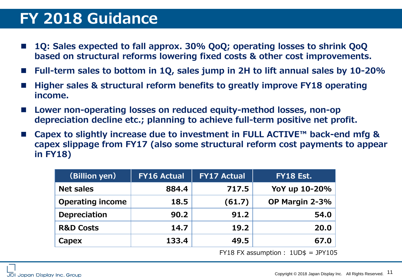## **FY 2018 Guidance**

- **1Q: Sales expected to fall approx. 30% QoQ; operating losses to shrink QoQ based on structural reforms lowering fixed costs & other cost improvements.**
- **Full-term sales to bottom in 1Q, sales jump in 2H to lift annual sales by 10-20%**
- **Higher sales & structural reform benefits to greatly improve FY18 operating income.**
- **Lower non-operating losses on reduced equity-method losses, non-op depreciation decline etc.; planning to achieve full-term positive net profit.**
- **Capex to slightly increase due to investment in FULL ACTIVE™ back-end mfg & capex slippage from FY17 (also some structural reform cost payments to appear in FY18)**

| (Billion yen)           | <b>FY16 Actual</b> | <b>FY17 Actual</b> | <b>FY18 Est.</b> |
|-------------------------|--------------------|--------------------|------------------|
| <b>Net sales</b>        | 884.4              | 717.5              | YoY up 10-20%    |
| <b>Operating income</b> | 18.5               | (61.7)             | OP Margin 2-3%   |
| <b>Depreciation</b>     | 90.2               | 91.2               | 54.0             |
| <b>R&amp;D Costs</b>    | 14.7               | 19.2               | 20.0             |
| Capex                   | 133.4              | 49.5               | 67.0             |
|                         |                    |                    |                  |

 $FY18 FX assumption: 1UD$ = JPY105$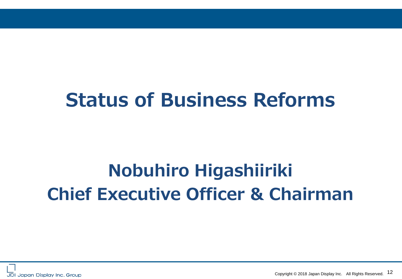# **Status of Business Reforms**

# **Nobuhiro Higashiiriki Chief Executive Officer & Chairman**



Copyright © 2018 Japan Display Inc. All Rights Reserved. 12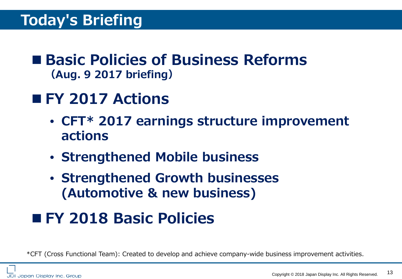### ■ Basic Policies of Business Reforms **(Aug. 9 2017 briefing)**

## ■ **FY 2017 Actions**

- **CFT\* 2017 earnings structure improvement actions**
- **Strengthened Mobile business**
- **Strengthened Growth businesses (Automotive & new business)**

## **FY 2018 Basic Policies**

\*CFT (Cross Functional Team): Created to develop and achieve company-wide business improvement activities.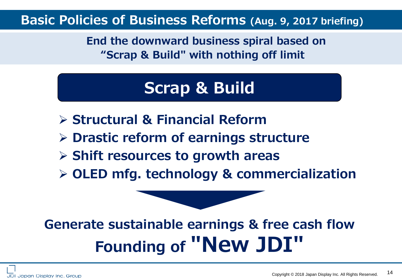### **Basic Policies of Business Reforms (Aug. 9, 2017 briefing)**

**End the downward business spiral based on "Scrap & Build" with nothing off limit**

## **Scrap & Build**

- **Structural & Financial Reform**
- **Drastic reform of earnings structure**
- **Shift resources to growth areas**
- **OLED mfg. technology & commercialization**

# **Generate sustainable earnings & free cash flow Founding of ″New JDI"**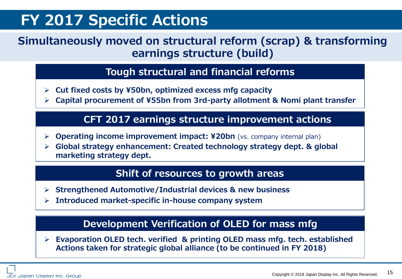## **FY 2017 Specific Actions**

### **Simultaneously moved on structural reform (scrap) & transforming earnings structure (build)**

### **Tough structural and financial reforms**

- **Cut fixed costs by ¥50bn, optimized excess mfg capacity**
- **Capital procurement of ¥55bn from 3rd-party allotment & Nomi plant transfer**

### **CFT 2017 earnings structure improvement actions**

- **Operating income improvement impact: ¥20bn** (vs. company internal plan)
- **Global strategy enhancement: Created technology strategy dept. & global marketing strategy dept.**

#### **Shift of resources to growth areas**

- **Strengthened Automotive/Industrial devices & new business**
- **Introduced market-specific in-house company system**

### **Development Verification of OLED for mass mfg**

 **Evaporation OLED tech. verified & printing OLED mass mfg. tech. established Actions taken for strategic global alliance (to be continued in FY 2018)**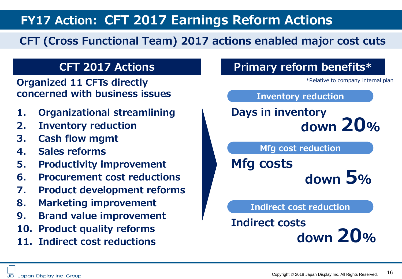**FY17 Action: CFT 2017 Earnings Reform Actions**

### **CFT (Cross Functional Team) 2017 actions enabled major cost cuts**

**Organized 11 CFTs directly concerned with business issues**

- **1. Organizational streamlining**
- **2. Inventory reduction**
- **3. Cash flow mgmt**
- **4. Sales reforms**
- **5. Productivity improvement**
- **6. Procurement cost reductions**
- **7. Product development reforms**
- **8. Marketing improvement**
- **9. Brand value improvement**
- **10. Product quality reforms**
- **11. Indirect cost reductions**



 **down 20%**

JDI Japan Display Inc. Group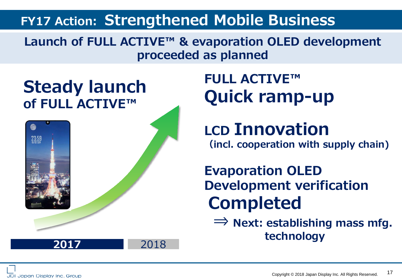### **FY17 Action: Strengthened Mobile Business**

**Launch of FULL ACTIVE™ & evaporation OLED development proceeded as planned**

**Steady launch of FULL ACTIVE™**



**FULL ACTIVE™ Quick ramp-up**

**LCD Innovation (incl. cooperation with supply chain)**

**Evaporation OLED Development verification Completed**

**⇒ Next: establishing mass mfg. technology <sup>2017</sup>** <sup>2018</sup>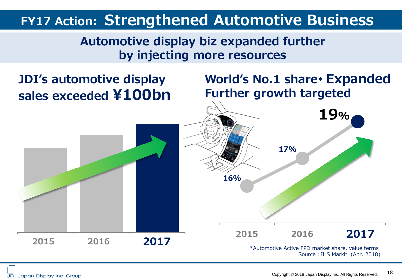### **FY17 Action: Strengthened Automotive Business**

### **Automotive display biz expanded further by injecting more resources**

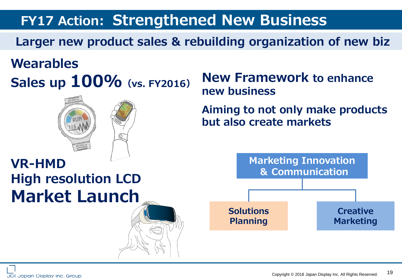## **FY17 Action: Strengthened New Business**

**Larger new product sales & rebuilding organization of new biz**

## **Wearables Sales up 100%(vs. FY2016)**



**High resolution LCD**

**Market Launch**

### **New Framework to enhance new business**

**Aiming to not only make products but also create markets**

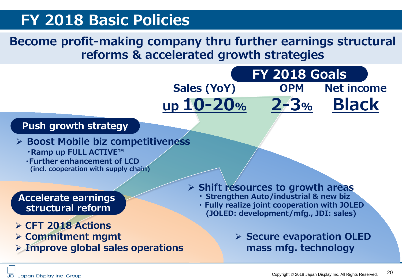### **FY 2018 Basic Policies**

### **Become profit-making company thru further earnings structural reforms & accelerated growth strategies**

**Sales (YoY)**

**up 10-20%**



**Boost Mobile biz competitiveness**

- 
- **<b>• Ramp up FULL ACTIVE™**<br> **Further enhancement of LCD (incl. cooperation with supply chain)**

### **Accelerate earnings structural reform**

- **CFT 2018 Actions**
- **Commitment mgmt**
- **Improve global sales operations**
- **Shift resources to growth areas**
	- **・ Strengthen Auto/industrial & new biz**
	- **・ Fully realize joint cooperation with JOLED (JOLED: development/mfg., JDI: sales)** 
		- **Secure evaporation OLED mass mfg. technology**

**FY 2018 Goals**

**Net income**

**Black**

**OPM**

**2-3%**